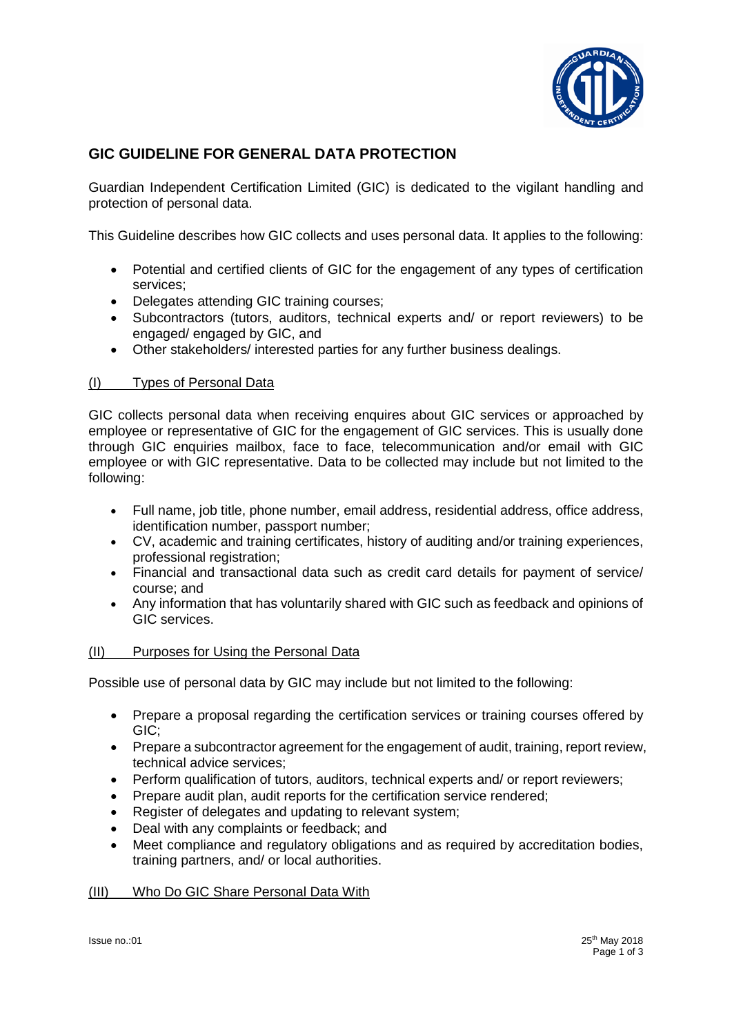

# **GIC GUIDELINE FOR GENERAL DATA PROTECTION**

Guardian Independent Certification Limited (GIC) is dedicated to the vigilant handling and protection of personal data.

This Guideline describes how GIC collects and uses personal data. It applies to the following:

- Potential and certified clients of GIC for the engagement of any types of certification services;
- Delegates attending GIC training courses;
- Subcontractors (tutors, auditors, technical experts and/ or report reviewers) to be engaged/ engaged by GIC, and
- Other stakeholders/ interested parties for any further business dealings.

# (I) Types of Personal Data

GIC collects personal data when receiving enquires about GIC services or approached by employee or representative of GIC for the engagement of GIC services. This is usually done through GIC enquiries mailbox, face to face, telecommunication and/or email with GIC employee or with GIC representative. Data to be collected may include but not limited to the following:

- Full name, job title, phone number, email address, residential address, office address, identification number, passport number;
- CV, academic and training certificates, history of auditing and/or training experiences, professional registration;
- Financial and transactional data such as credit card details for payment of service/ course; and
- Any information that has voluntarily shared with GIC such as feedback and opinions of GIC services.

# (II) Purposes for Using the Personal Data

Possible use of personal data by GIC may include but not limited to the following:

- Prepare a proposal regarding the certification services or training courses offered by GIC;
- Prepare a subcontractor agreement for the engagement of audit, training, report review, technical advice services;
- Perform qualification of tutors, auditors, technical experts and/ or report reviewers;
- Prepare audit plan, audit reports for the certification service rendered;
- Register of delegates and updating to relevant system;
- Deal with any complaints or feedback; and
- Meet compliance and regulatory obligations and as required by accreditation bodies, training partners, and/ or local authorities.

# (III) Who Do GIC Share Personal Data With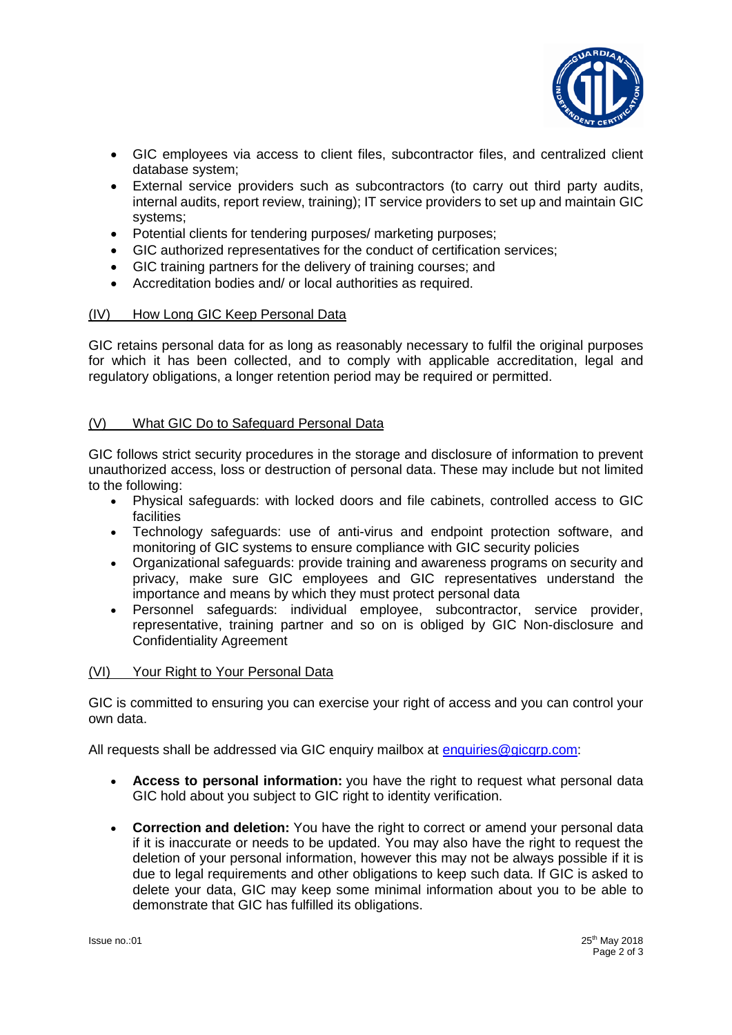

- GIC employees via access to client files, subcontractor files, and centralized client database system;
- External service providers such as subcontractors (to carry out third party audits, internal audits, report review, training); IT service providers to set up and maintain GIC systems;
- Potential clients for tendering purposes/ marketing purposes;
- GIC authorized representatives for the conduct of certification services;
- GIC training partners for the delivery of training courses; and
- Accreditation bodies and/ or local authorities as required.

# (IV) How Long GIC Keep Personal Data

GIC retains personal data for as long as reasonably necessary to fulfil the original purposes for which it has been collected, and to comply with applicable accreditation, legal and regulatory obligations, a longer retention period may be required or permitted.

# (V) What GIC Do to Safeguard Personal Data

GIC follows strict security procedures in the storage and disclosure of information to prevent unauthorized access, loss or destruction of personal data. These may include but not limited to the following:

- Physical safeguards: with locked doors and file cabinets, controlled access to GIC facilities
- Technology safeguards: use of anti-virus and endpoint protection software, and monitoring of GIC systems to ensure compliance with GIC security policies
- Organizational safeguards: provide training and awareness programs on security and privacy, make sure GIC employees and GIC representatives understand the importance and means by which they must protect personal data
- Personnel safeguards: individual employee, subcontractor, service provider, representative, training partner and so on is obliged by GIC Non-disclosure and Confidentiality Agreement

#### (VI) Your Right to Your Personal Data

GIC is committed to ensuring you can exercise your right of access and you can control your own data.

All requests shall be addressed via GIC enquiry mailbox at [enquiries@gicgrp.com:](mailto:enquiries@gicgrp.com)

- **Access to personal information:** you have the right to request what personal data GIC hold about you subject to GIC right to identity verification.
- **Correction and deletion:** You have the right to correct or amend your personal data if it is inaccurate or needs to be updated. You may also have the right to request the deletion of your personal information, however this may not be always possible if it is due to legal requirements and other obligations to keep such data. If GIC is asked to delete your data, GIC may keep some minimal information about you to be able to demonstrate that GIC has fulfilled its obligations.